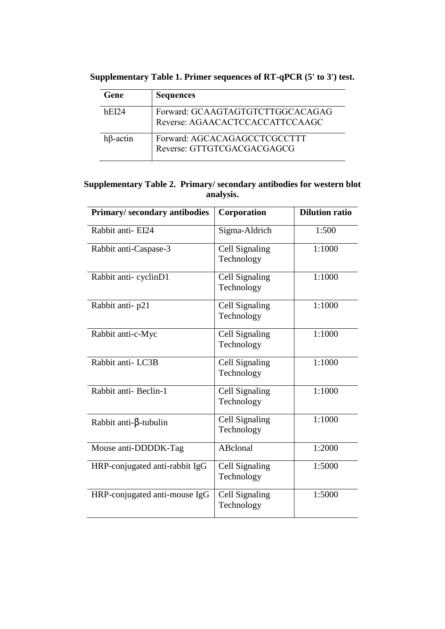| Gene            | <b>Sequences</b>                                                    |
|-----------------|---------------------------------------------------------------------|
| hE124           | Forward: GCAAGTAGTGTCTTGGCACAGAG<br>Reverse: AGAACACTCCACCATTCCAAGC |
| $h\beta$ -actin | Forward: AGCACAGAGCCTCGCCTTT<br>Reverse: GTTGTCGACGACGAGCG          |

**Supplementary Table 1. Primer sequences of RT-qPCR (5' to 3') test.**

## **Supplementary Table 2. Primary/ secondary antibodies for western blot analysis.**

| Primary/secondary antibodies   | Corporation                  | <b>Dilution ratio</b> |
|--------------------------------|------------------------------|-----------------------|
| Rabbit anti-EI24               | Sigma-Aldrich                | 1:500                 |
| Rabbit anti-Caspase-3          | Cell Signaling<br>Technology | 1:1000                |
| Rabbit anti-cyclinD1           | Cell Signaling<br>Technology | 1:1000                |
| Rabbit anti-p21                | Cell Signaling<br>Technology | 1:1000                |
| Rabbit anti-c-Myc              | Cell Signaling<br>Technology | 1:1000                |
| Rabbit anti-LC3B               | Cell Signaling<br>Technology | 1:1000                |
| Rabbit anti-Beclin-1           | Cell Signaling<br>Technology | 1:1000                |
| Rabbit anti- $\beta$ -tubulin  | Cell Signaling<br>Technology | 1:1000                |
| Mouse anti-DDDDK-Tag           | ABclonal                     | 1:2000                |
| HRP-conjugated anti-rabbit IgG | Cell Signaling<br>Technology | 1:5000                |
| HRP-conjugated anti-mouse IgG  | Cell Signaling<br>Technology | 1:5000                |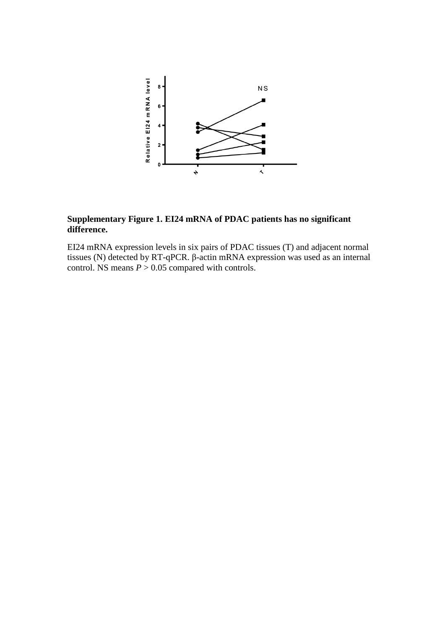

## **Supplementary Figure 1. EI24 mRNA of PDAC patients has no significant difference.**

EI24 mRNA expression levels in six pairs of PDAC tissues (T) and adjacent normal tissues (N) detected by RT-qPCR. β-actin mRNA expression was used as an internal control. NS means  $P > 0.05$  compared with controls.